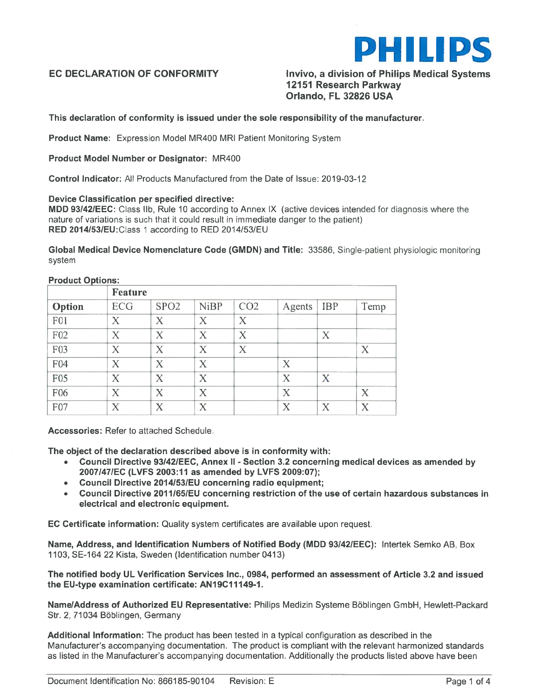

EC DECLARATION OF CONFORMITY **Invivo, a division of Philips Medical Systems** 12151 Research Parkway Orlando, FL 32826 USA

### This declaration of conformity is issued under the sole responsibility of the manufacturer.

Product Name: Expression Model MR400 MRI Patient Monitoring System

#### Product Model Number or Designator: MR400

Control Indicator: All Products Manufactured from the Date of Issue: 2019-03-12

#### Device Classification per specified directive:

MDD 93142/EEC: Class lIb, Rule 10 according to Annex IX (active devices intended for diagnosis where the nature of variations is such that it could result in immediate danger to the patient) RED 2014/53/EU: Class 1 according to RED 2014/53/EU

Global Medical Device Nomenclature Code (GMDN) and Title: 33586, Single-patient <sup>p</sup>hysiologic monitoring system

#### Product Options:

|                  | Feature                   |                           |                           |                           |                           |                           |                   |
|------------------|---------------------------|---------------------------|---------------------------|---------------------------|---------------------------|---------------------------|-------------------|
| Option           | ECG                       | SPO <sub>2</sub>          | <b>NiBP</b>               | CO <sub>2</sub>           | Agents                    | <b>IBP</b>                | Temp              |
| F <sub>0</sub> 1 | X                         | X                         | $\boldsymbol{\mathsf{X}}$ | X                         |                           |                           |                   |
| F02              | X                         | X                         | X                         | X                         |                           | X                         |                   |
| F03              | X                         | $\boldsymbol{\mathrm{X}}$ | $\bf{X}$                  | $\boldsymbol{\mathrm{X}}$ |                           |                           | X                 |
| F04              | X                         | X                         | X                         |                           | X                         |                           |                   |
| F05              | X                         | X                         | X                         |                           | X                         | $\boldsymbol{\mathrm{X}}$ |                   |
| F06              | $\boldsymbol{\mathrm{X}}$ | X                         | $\rm X$                   |                           | X                         |                           | X                 |
| F07              | $\rm\overline{X}$         | X                         | X                         |                           | $\boldsymbol{\mathrm{X}}$ | $\rm\overline{X}$         | $\rm\overline{X}$ |

Accessories: Refer to attached Schedule.

The object of the declaration described above is in conformity with:

- Council Directive 93I42IEEC, Annex II Section 3.2 concerning medical devices as amended by 2007/47/EC (LVFS 2003:11 as amended by LVFS 2009:07);
- •Council Directive 2014/53/EU concerning radio equipment;
- •Council Directive 2011/65/EU concerning restriction of the use of certain hazardous substances in electrical and electronic equipment.

EC Certificate information: Quality system certificates are available upon request.

Name, Address, and Identification Numbers of Notified Body (MDD 93I42IEEC): Intertek Semko AB, Box 1103, SE-164 22 Kista, Sweden (Identification number 0413)

The notified body UL Verification Services Inc., 0984, performed an assessment of Article 3.2 and issued the EU-type examination certificate: AN19C11149-1.

Name/Address of Authorized EU Representative: Philips Medizin Systeme Böblingen GmbH, Hewlett-Packard Str. 2, 71034 Böblingen, Germany

Additional Information: The product has been tested in <sup>a</sup> typical configuration as described in the Manufacturer's accompanying documentation. The product is compliant with the relevant harmonized standards as listed in the Manufacturer's accompanying documentation. Additionally the products listed above have been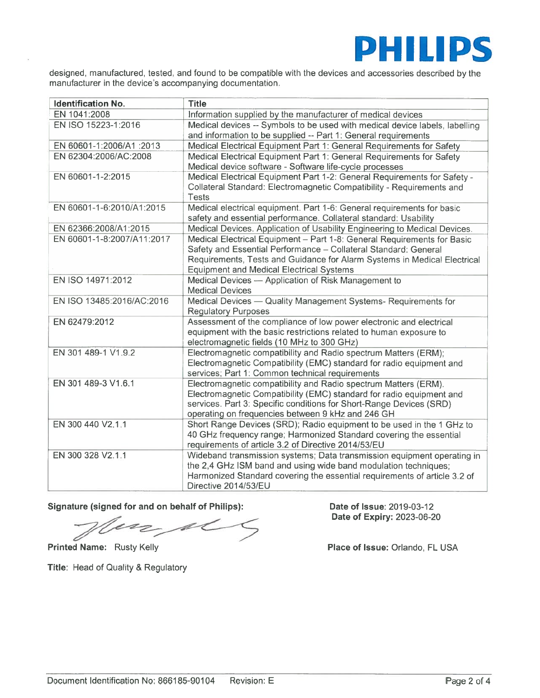

designed, manufactured, tested, and found to be compatible with the devices and accessories described by the manufacturer in the device's accompanying documentation.

| Identification No.         | <b>Title</b>                                                                                                                              |  |  |
|----------------------------|-------------------------------------------------------------------------------------------------------------------------------------------|--|--|
| EN 1041:2008               | Information supplied by the manufacturer of medical devices                                                                               |  |  |
| EN ISO 15223-1:2016        | Medical devices -- Symbols to be used with medical device labels, labelling                                                               |  |  |
|                            | and information to be supplied -- Part 1: General requirements                                                                            |  |  |
| EN 60601-1:2006/A1 :2013   | Medical Electrical Equipment Part 1: General Requirements for Safety                                                                      |  |  |
| EN 62304:2006/AC:2008      | Medical Electrical Equipment Part 1: General Requirements for Safety                                                                      |  |  |
|                            | Medical device software - Software life-cycle processes                                                                                   |  |  |
| EN 60601-1-2:2015          | Medical Electrical Equipment Part 1-2: General Requirements for Safety -                                                                  |  |  |
|                            | Collateral Standard: Electromagnetic Compatibility - Requirements and                                                                     |  |  |
|                            | <b>Tests</b>                                                                                                                              |  |  |
| EN 60601-1-6:2010/A1:2015  | Medical electrical equipment. Part 1-6: General requirements for basic                                                                    |  |  |
|                            | safety and essential performance. Collateral standard: Usability                                                                          |  |  |
| EN 62366:2008/A1:2015      | Medical Devices. Application of Usability Engineering to Medical Devices.                                                                 |  |  |
| EN 60601-1-8:2007/A11:2017 | Medical Electrical Equipment - Part 1-8: General Requirements for Basic                                                                   |  |  |
|                            | Safety and Essential Performance - Collateral Standard: General                                                                           |  |  |
|                            | Requirements, Tests and Guidance for Alarm Systems in Medical Electrical                                                                  |  |  |
|                            | <b>Equipment and Medical Electrical Systems</b>                                                                                           |  |  |
| EN ISO 14971:2012          | Medical Devices - Application of Risk Management to                                                                                       |  |  |
|                            | <b>Medical Devices</b>                                                                                                                    |  |  |
| EN ISO 13485:2016/AC:2016  | Medical Devices - Quality Management Systems- Requirements for                                                                            |  |  |
| EN 62479:2012              | <b>Regulatory Purposes</b>                                                                                                                |  |  |
|                            | Assessment of the compliance of low power electronic and electrical<br>equipment with the basic restrictions related to human exposure to |  |  |
|                            | electromagnetic fields (10 MHz to 300 GHz)                                                                                                |  |  |
| EN 301 489-1 V1.9.2        | Electromagnetic compatibility and Radio spectrum Matters (ERM);                                                                           |  |  |
|                            | Electromagnetic Compatibility (EMC) standard for radio equipment and                                                                      |  |  |
|                            | services; Part 1: Common technical requirements                                                                                           |  |  |
| EN 301 489-3 V1.6.1        | Electromagnetic compatibility and Radio spectrum Matters (ERM).                                                                           |  |  |
|                            | Electromagnetic Compatibility (EMC) standard for radio equipment and                                                                      |  |  |
|                            | services. Part 3: Specific conditions for Short-Range Devices (SRD)                                                                       |  |  |
|                            | operating on frequencies between 9 kHz and 246 GH                                                                                         |  |  |
| EN 300 440 V2.1.1          | Short Range Devices (SRD); Radio equipment to be used in the 1 GHz to                                                                     |  |  |
|                            | 40 GHz frequency range; Harmonized Standard covering the essential                                                                        |  |  |
|                            | requirements of article 3.2 of Directive 2014/53/EU                                                                                       |  |  |
| EN 300 328 V2.1.1          | Wideband transmission systems; Data transmission equipment operating in                                                                   |  |  |
|                            | the 2,4 GHz ISM band and using wide band modulation techniques;                                                                           |  |  |
|                            | Harmonized Standard covering the essential requirements of article 3.2 of                                                                 |  |  |
|                            | Directive 2014/53/EU                                                                                                                      |  |  |

Signature (signed for and on behalf of Philips): Date of Issue: 2019-03-12

 $\mathscr{M}$ Z

Title: Head of Quality & Regulatory

Date of Expiry: 2023-06-20

Printed Name: Rusty Kelly **Printed Name: Rusty Kelly Place of Issue: Orlando, FL USA**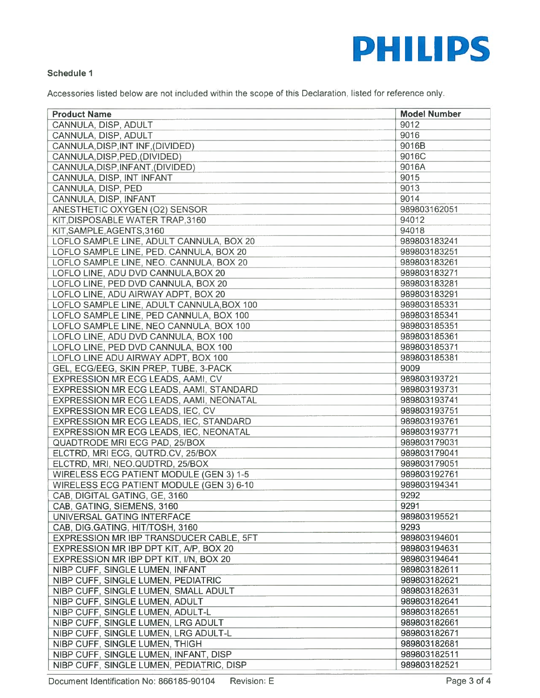

## Schedule I

Accessories listed below are not included within the scope of this Declaration, listed for reference only.

| <b>Product Name</b>                       | <b>Model Number</b> |
|-------------------------------------------|---------------------|
| CANNULA, DISP, ADULT                      | 9012                |
| CANNULA, DISP, ADULT                      | 9016                |
| CANNULA, DISP, INT INF, (DIVIDED)         | 9016B               |
| CANNULA, DISP, PED, (DIVIDED)             | 9016C               |
| CANNULA, DISP, INFANT, (DIVIDED)          | 9016A               |
| CANNULA, DISP, INT INFANT                 | 9015                |
| CANNULA, DISP, PED                        | 9013                |
| CANNULA, DISP, INFANT                     | 9014                |
| ANESTHETIC OXYGEN (O2) SENSOR             | 989803162051        |
| KIT, DISPOSABLE WATER TRAP, 3160          | 94012               |
| KIT, SAMPLE, AGENTS, 3160                 | 94018               |
| LOFLO SAMPLE LINE, ADULT CANNULA, BOX 20  | 989803183241        |
| LOFLO SAMPLE LINE, PED. CANNULA, BOX 20   | 989803183251        |
| LOFLO SAMPLE LINE, NEO. CANNULA, BOX 20   | 989803183261        |
| LOFLO LINE, ADU DVD CANNULA, BOX 20       | 989803183271        |
| LOFLO LINE, PED DVD CANNULA, BOX 20       | 989803183281        |
| LOFLO LINE, ADU AIRWAY ADPT, BOX 20       | 989803183291        |
| LOFLO SAMPLE LINE, ADULT CANNULA, BOX 100 | 989803185331        |
| LOFLO SAMPLE LINE, PED CANNULA, BOX 100   | 989803185341        |
| LOFLO SAMPLE LINE, NEO CANNULA, BOX 100   | 989803185351        |
| LOFLO LINE, ADU DVD CANNULA, BOX 100      | 989803185361        |
| LOFLO LINE, PED DVD CANNULA, BOX 100      | 989803185371        |
| LOFLO LINE ADU AIRWAY ADPT, BOX 100       | 989803185381        |
| GEL, ECG/EEG, SKIN PREP, TUBE, 3-PACK     | 9009                |
| <b>EXPRESSION MR ECG LEADS, AAMI, CV</b>  | 989803193721        |
| EXPRESSION MR ECG LEADS, AAMI, STANDARD   | 989803193731        |
| EXPRESSION MR ECG LEADS, AAMI, NEONATAL   | 989803193741        |
| EXPRESSION MR ECG LEADS, IEC, CV          | 989803193751        |
| EXPRESSION MR ECG LEADS, IEC, STANDARD    | 989803193761        |
| EXPRESSION MR ECG LEADS, IEC, NEONATAL    | 989803193771        |
| QUADTRODE MRI ECG PAD, 25/BOX             | 989803179031        |
| ELCTRD, MRI ECG, QUTRD.CV, 25/BOX         | 989803179041        |
| ELCTRD, MRI, NEO.QUDTRD, 25/BOX           | 989803179051        |
| WIRELESS ECG PATIENT MODULE (GEN 3) 1-5   | 989803192761        |
| WIRELESS ECG PATIENT MODULE (GEN 3) 6-10  | 989803194341        |
| CAB, DIGITAL GATING, GE, 3160             | 9292                |
| CAB, GATING, SIEMENS, 3160                | 9291                |
|                                           | 989803195521        |
| UNIVERSAL GATING INTERFACE                | 9293                |
| CAB, DIG.GATING, HIT/TOSH, 3160           | 989803194601        |
| EXPRESSION MR IBP TRANSDUCER CABLE, 5FT   |                     |
| EXPRESSION MR IBP DPT KIT, A/P, BOX 20    | 989803194631        |
| EXPRESSION MR IBP DPT KIT, I/N, BOX 20    | 989803194641        |
| NIBP CUFF, SINGLE LUMEN, INFANT           | 989803182611        |
| NIBP CUFF, SINGLE LUMEN, PEDIATRIC        | 989803182621        |
| NIBP CUFF, SINGLE LUMEN, SMALL ADULT      | 989803182631        |
| NIBP CUFF, SINGLE LUMEN, ADULT            | 989803182641        |
| NIBP CUFF, SINGLE LUMEN, ADULT-L          | 989803182651        |
| NIBP CUFF, SINGLE LUMEN, LRG ADULT        | 989803182661        |
| NIBP CUFF, SINGLE LUMEN, LRG ADULT-L      | 989803182671        |
| NIBP CUFF, SINGLE LUMEN, THIGH            | 989803182681        |
| NIBP CUFF, SINGLE LUMEN, INFANT, DISP     | 989803182511        |
| NIBP CUFF, SINGLE LUMEN, PEDIATRIC, DISP  | 989803182521        |